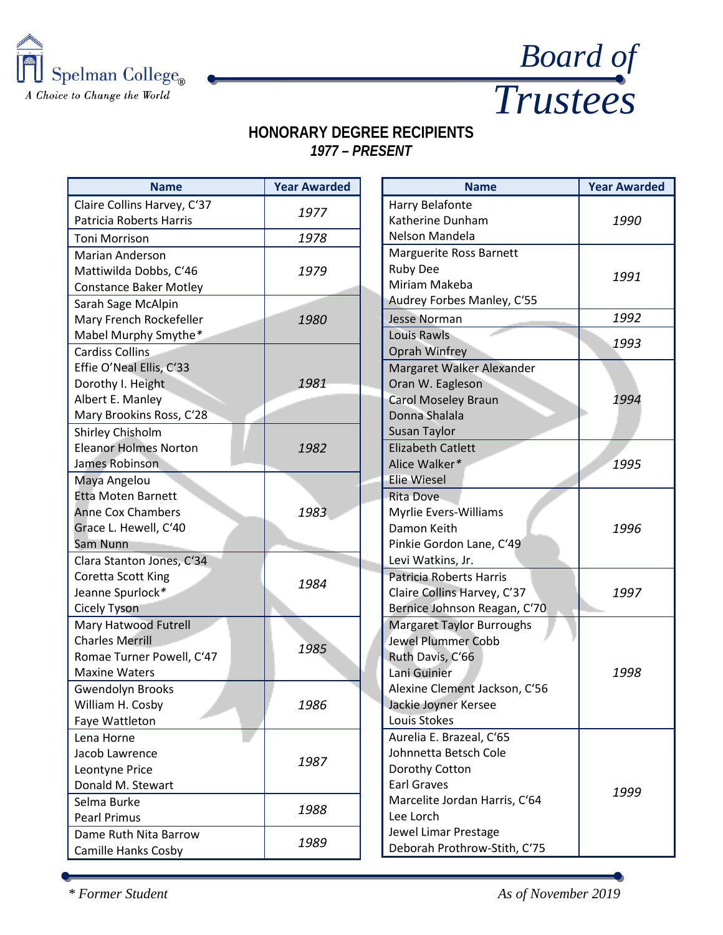



## **HONORARY DEGREE RECIPIENTS** *1977 – PRESENT*

| <b>Name</b>                   | <b>Year Awarded</b> |  | <b>Name</b>                      | <b>Year Awarded</b> |
|-------------------------------|---------------------|--|----------------------------------|---------------------|
| Claire Collins Harvey, C'37   |                     |  | Harry Belafonte                  |                     |
| Patricia Roberts Harris       | 1977                |  | Katherine Dunham                 | 1990                |
| <b>Toni Morrison</b>          | 1978                |  | Nelson Mandela                   |                     |
| Marian Anderson               |                     |  | Marguerite Ross Barnett          |                     |
| Mattiwilda Dobbs, C'46        | 1979                |  | <b>Ruby Dee</b>                  | 1991                |
| <b>Constance Baker Motley</b> |                     |  | Miriam Makeba                    |                     |
| Sarah Sage McAlpin            |                     |  | Audrey Forbes Manley, C'55       |                     |
| Mary French Rockefeller       | 1980                |  | <b>Jesse Norman</b>              | 1992                |
| Mabel Murphy Smythe*          |                     |  | Louis Rawls                      |                     |
| <b>Cardiss Collins</b>        |                     |  | Oprah Winfrey                    | 1993                |
| Effie O'Neal Ellis, C'33      |                     |  | Margaret Walker Alexander        |                     |
| Dorothy I. Height             | 1981                |  | Oran W. Eagleson                 |                     |
| Albert E. Manley              |                     |  | <b>Carol Moseley Braun</b>       | 1994                |
| Mary Brookins Ross, C'28      |                     |  | Donna Shalala                    |                     |
| Shirley Chisholm              |                     |  | Susan Taylor                     |                     |
| <b>Eleanor Holmes Norton</b>  | 1982                |  | <b>Elizabeth Catlett</b>         |                     |
| James Robinson                |                     |  | Alice Walker*                    | 1995                |
| Maya Angelou                  |                     |  | <b>Elie Wiesel</b>               |                     |
| <b>Etta Moten Barnett</b>     |                     |  | Rita Dove                        |                     |
| <b>Anne Cox Chambers</b>      | 1983                |  | Myrlie Evers-Williams            |                     |
| Grace L. Hewell, C'40         |                     |  | Damon Keith                      | 1996                |
| Sam Nunn                      |                     |  | Pinkie Gordon Lane, C'49         |                     |
| Clara Stanton Jones, C'34     | 1984                |  | Levi Watkins, Jr.                |                     |
| Coretta Scott King            |                     |  | Patricia Roberts Harris          |                     |
| Jeanne Spurlock*              |                     |  | Claire Collins Harvey, C'37      | 1997                |
| <b>Cicely Tyson</b>           |                     |  | Bernice Johnson Reagan, C'70     |                     |
| Mary Hatwood Futrell          |                     |  | <b>Margaret Taylor Burroughs</b> |                     |
| <b>Charles Merrill</b>        | 1985                |  | <b>Jewel Plummer Cobb</b>        |                     |
| Romae Turner Powell, C'47     |                     |  | Ruth Davis, C'66                 |                     |
| <b>Maxine Waters</b>          |                     |  | Lani Guinier                     | 1998                |
| <b>Gwendolyn Brooks</b>       |                     |  | Alexine Clement Jackson, C'56    |                     |
| William H. Cosby              | 1986                |  | Jackie Joyner Kersee             |                     |
| Faye Wattleton                |                     |  | Louis Stokes                     |                     |
| Lena Horne                    |                     |  | Aurelia E. Brazeal, C'65         |                     |
| Jacob Lawrence                | 1987                |  | Johnnetta Betsch Cole            |                     |
| Leontyne Price                |                     |  | Dorothy Cotton                   |                     |
| Donald M. Stewart             |                     |  | <b>Earl Graves</b>               | 1999                |
| Selma Burke                   | 1988                |  | Marcelite Jordan Harris, C'64    |                     |
| <b>Pearl Primus</b>           |                     |  | Lee Lorch                        |                     |
| Dame Ruth Nita Barrow         | 1989                |  | Jewel Limar Prestage             |                     |
| Camille Hanks Cosby           |                     |  | Deborah Prothrow-Stith, C'75     |                     |

*\* Former Student As of November 2019*